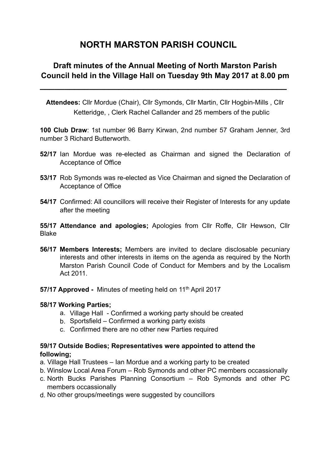# **NORTH MARSTON PARISH COUNCIL**

## **Draft minutes of the Annual Meeting of North Marston Parish Council held in the Village Hall on Tuesday 9th May 2017 at 8.00 pm**

**\_\_\_\_\_\_\_\_\_\_\_\_\_\_\_\_\_\_\_\_\_\_\_\_\_\_\_\_\_\_\_\_\_\_\_\_\_\_\_\_\_\_\_\_\_\_\_\_\_\_**

**Attendees:** Cllr Mordue (Chair), Cllr Symonds, Cllr Martin, Cllr Hogbin-Mills , Cllr Ketteridge, , Clerk Rachel Callander and 25 members of the public

**100 Club Draw**: 1st number 96 Barry Kirwan, 2nd number 57 Graham Jenner, 3rd number 3 Richard Butterworth.

- **52/17** Ian Mordue was re-elected as Chairman and signed the Declaration of Acceptance of Office
- **53/17** Rob Symonds was re-elected as Vice Chairman and signed the Declaration of Acceptance of Office
- **54/17** Confirmed: All councillors will receive their Register of Interests for any update after the meeting

**55/17 Attendance and apologies;** Apologies from Cllr Roffe, Cllr Hewson, Cllr Blake

- **56/17 Members Interests;** Members are invited to declare disclosable pecuniary interests and other interests in items on the agenda as required by the North Marston Parish Council Code of Conduct for Members and by the Localism Act 2011.
- **57/17 Approved -** Minutes of meeting held on 11<sup>th</sup> April 2017

## **58/17 Working Parties;**

- a. Village Hall Confirmed a working party should be created
- b. Sportsfield Confirmed a working party exists
- c. Confirmed there are no other new Parties required

## **59/17 Outside Bodies; Representatives were appointed to attend the following;**

- a. Village Hall Trustees Ian Mordue and a working party to be created
- b. Winslow Local Area Forum Rob Symonds and other PC members occassionally
- c. North Bucks Parishes Planning Consortium Rob Symonds and other PC members occassionally
- d. No other groups/meetings were suggested by councillors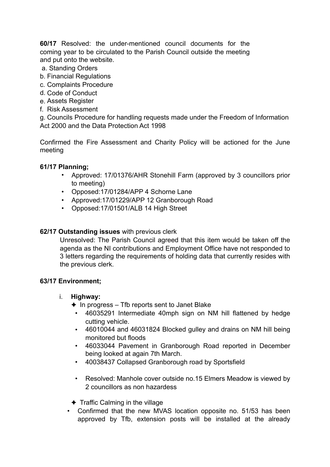**60/17** Resolved: the under-mentioned council documents for the coming year to be circulated to the Parish Council outside the meeting and put onto the website.

- a. Standing Orders
- b. Financial Regulations
- c. Complaints Procedure
- d. Code of Conduct
- e. Assets Register
- f. Risk Assessment

g. Councils Procedure for handling requests made under the Freedom of Information Act 2000 and the Data Protection Act 1998

Confirmed the Fire Assessment and Charity Policy will be actioned for the June meeting

## **61/17 Planning;**

- Approved: 17/01376/AHR Stonehill Farm (approved by 3 councillors prior to meeting)
- Opposed:17/01284/APP 4 Schorne Lane
- Approved:17/01229/APP 12 Granborough Road
- Opposed:17/01501/ALB 14 High Street

## **62/17 Outstanding issues** with previous clerk

Unresolved: The Parish Council agreed that this item would be taken off the agenda as the NI contributions and Employment Office have not responded to 3 letters regarding the requirements of holding data that currently resides with the previous clerk.

## **63/17 Environment;**

- i. **Highway:** 
	- $\triangle$  In progress Tfb reports sent to Janet Blake
		- 46035291 Intermediate 40mph sign on NM hill flattened by hedge cutting vehicle.
		- 46010044 and 46031824 Blocked gulley and drains on NM hill being monitored but floods
		- 46033044 Pavement in Granborough Road reported in December being looked at again 7th March.
		- 40038437 Collapsed Granborough road by Sportsfield
		- Resolved: Manhole cover outside no.15 Elmers Meadow is viewed by 2 councillors as non hazardess

✦ Traffic Calming in the village

• Confirmed that the new MVAS location opposite no. 51/53 has been approved by Tfb, extension posts will be installed at the already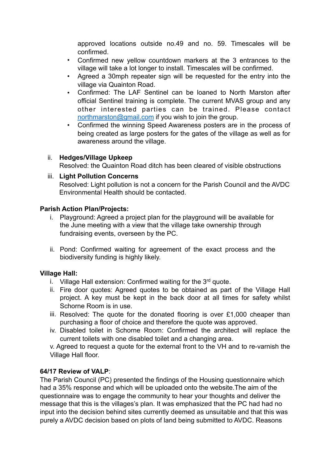approved locations outside no.49 and no. 59. Timescales will be confirmed.

- Confirmed new yellow countdown markers at the 3 entrances to the village will take a lot longer to install. Timescales will be confirmed.
- Agreed a 30mph repeater sign will be requested for the entry into the village via Quainton Road.
- Confirmed: The LAF Sentinel can be loaned to North Marston after official Sentinel training is complete. The current MVAS group and any other interested parties can be trained. Please contact [northmarston@gmail.com](mailto:northmarston@gmail.com) if you wish to join the group.
- Confirmed the winning Speed Awareness posters are in the process of being created as large posters for the gates of the village as well as for awareness around the village.

## ii. **Hedges/Village Upkeep**

Resolved: the Quainton Road ditch has been cleared of visible obstructions

## iii. **Light Pollution Concerns**

Resolved: Light pollution is not a concern for the Parish Council and the AVDC Environmental Health should be contacted.

## **Parish Action Plan/Projects:**

- i. Playground: Agreed a project plan for the playground will be available for the June meeting with a view that the village take ownership through fundraising events, overseen by the PC.
- ii. Pond: Confirmed waiting for agreement of the exact process and the biodiversity funding is highly likely.

## **Village Hall:**

- i. Village Hall extension: Confirmed waiting for the  $3<sup>rd</sup>$  quote.
- ii. Fire door quotes: Agreed quotes to be obtained as part of the Village Hall project. A key must be kept in the back door at all times for safety whilst Schorne Room is in use.
- iii. Resolved: The quote for the donated flooring is over £1,000 cheaper than purchasing a floor of choice and therefore the quote was approved.
- iv. Disabled toilet in Schorne Room: Confirmed the architect will replace the current toilets with one disabled toilet and a changing area.

v. Agreed to request a quote for the external front to the VH and to re-varnish the Village Hall floor.

## **64/17 Review of VALP**:

 The Parish Council (PC) presented the findings of the Housing questionnaire which had a 35% response and which will be uploaded onto the website.The aim of the questionnaire was to engage the community to hear your thoughts and deliver the message that this is the villages's plan. It was emphasized that the PC had had no input into the decision behind sites currently deemed as unsuitable and that this was purely a AVDC decision based on plots of land being submitted to AVDC. Reasons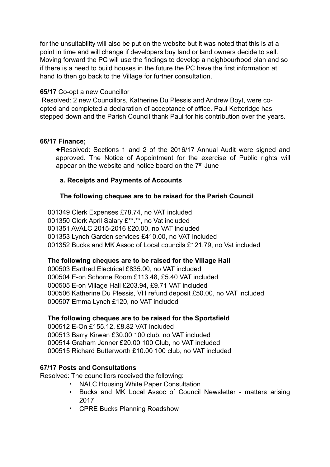for the unsuitability will also be put on the website but it was noted that this is at a point in time and will change if developers buy land or land owners decide to sell. Moving forward the PC will use the findings to develop a neighbourhood plan and so if there is a need to build houses in the future the PC have the first information at hand to then go back to the Village for further consultation.

#### **65/17** Co-opt a new Councillor

 Resolved: 2 new Councillors, Katherine Du Plessis and Andrew Boyt, were coopted and completed a declaration of acceptance of office. Paul Ketteridge has stepped down and the Parish Council thank Paul for his contribution over the years.

## **66/17 Finance;**

✦Resolved: Sections 1 and 2 of the 2016/17 Annual Audit were signed and approved. The Notice of Appointment for the exercise of Public rights will appear on the website and notice board on the  $7<sup>th</sup>$  June

## **a. Receipts and Payments of Accounts**

## **The following cheques are to be raised for the Parish Council**

001349 Clerk Expenses £78.74, no VAT included 001350 Clerk April Salary £\*\*.\*\*, no Vat included 001351 AVALC 2015-2016 £20.00, no VAT included 001353 Lynch Garden services £410.00, no VAT included 001352 Bucks and MK Assoc of Local councils £121.79, no Vat included

## **The following cheques are to be raised for the Village Hall**

000503 Earthed Electrical £835.00, no VAT included 000504 E-on Schorne Room £113.48, £5.40 VAT included 000505 E-on Village Hall £203.94, £9.71 VAT included 000506 Katherine Du Plessis, VH refund deposit £50.00, no VAT included 000507 Emma Lynch £120, no VAT included

## **The following cheques are to be raised for the Sportsfield**

000512 E-On £155.12, £8.82 VAT included 000513 Barry Kirwan £30.00 100 club, no VAT included 000514 Graham Jenner £20.00 100 Club, no VAT included 000515 Richard Butterworth £10.00 100 club, no VAT included

## **67/17 Posts and Consultations**

Resolved: The councillors received the following:

- NALC Housing White Paper Consultation
- Bucks and MK Local Assoc of Council Newsletter matters arising 2017
- CPRE Bucks Planning Roadshow